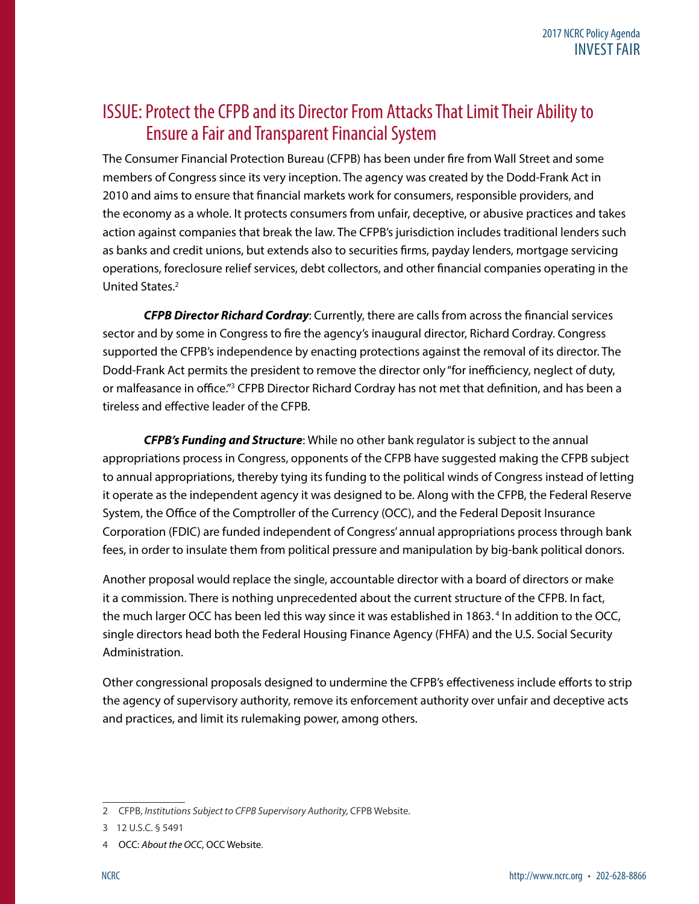#### ISSUE: Protect the CFPB and its Director From Attacks That Limit Their Ability to Ensure a Fair and Transparent Financial System

The Consumer Financial Protection Bureau (CFPB) has been under fire from Wall Street and some members of Congress since its very inception. The agency was created by the Dodd-Frank Act in 2010 and aims to ensure that financial markets work for consumers, responsible providers, and the economy as a whole. It protects consumers from unfair, deceptive, or abusive practices and takes action against companies that break the law. The CFPB's jurisdiction includes traditional lenders such as banks and credit unions, but extends also to securities firms, payday lenders, mortgage servicing operations, foreclosure relief services, debt collectors, and other financial companies operating in the United States.<sup>2</sup>

*CFPB Director Richard Cordray*: Currently, there are calls from across the financial services sector and by some in Congress to fire the agency's inaugural director, Richard Cordray. Congress supported the CFPB's independence by enacting protections against the removal of its director. The Dodd-Frank Act permits the president to remove the director only "for inefficiency, neglect of duty, or malfeasance in office."<sup>3</sup> CFPB Director Richard Cordray has not met that definition, and has been a tireless and effective leader of the CFPB.

*CFPB's Funding and Structure*: While no other bank regulator is subject to the annual appropriations process in Congress, opponents of the CFPB have suggested making the CFPB subject to annual appropriations, thereby tying its funding to the political winds of Congress instead of letting it operate as the independent agency it was designed to be. Along with the CFPB, the Federal Reserve System, the Office of the Comptroller of the Currency (OCC), and the Federal Deposit Insurance Corporation (FDIC) are funded independent of Congress' annual appropriations process through bank fees, in order to insulate them from political pressure and manipulation by big-bank political donors.

Another proposal would replace the single, accountable director with a board of directors or make it a commission. There is nothing unprecedented about the current structure of the CFPB. In fact, the much larger OCC has been led this way since it was established in 1863.4 In addition to the OCC, single directors head both the Federal Housing Finance Agency (FHFA) and the U.S. Social Security Administration.

Other congressional proposals designed to undermine the CFPB's effectiveness include efforts to strip the agency of supervisory authority, remove its enforcement authority over unfair and deceptive acts and practices, and limit its rulemaking power, among others.

<sup>2</sup> CFPB, *Institutions Subject to CFPB Supervisory Authority,* CFPB Website.

<sup>3</sup> 12 U.S.C. § 5491

<sup>4</sup> OCC: *About the OCC*, OCC Website.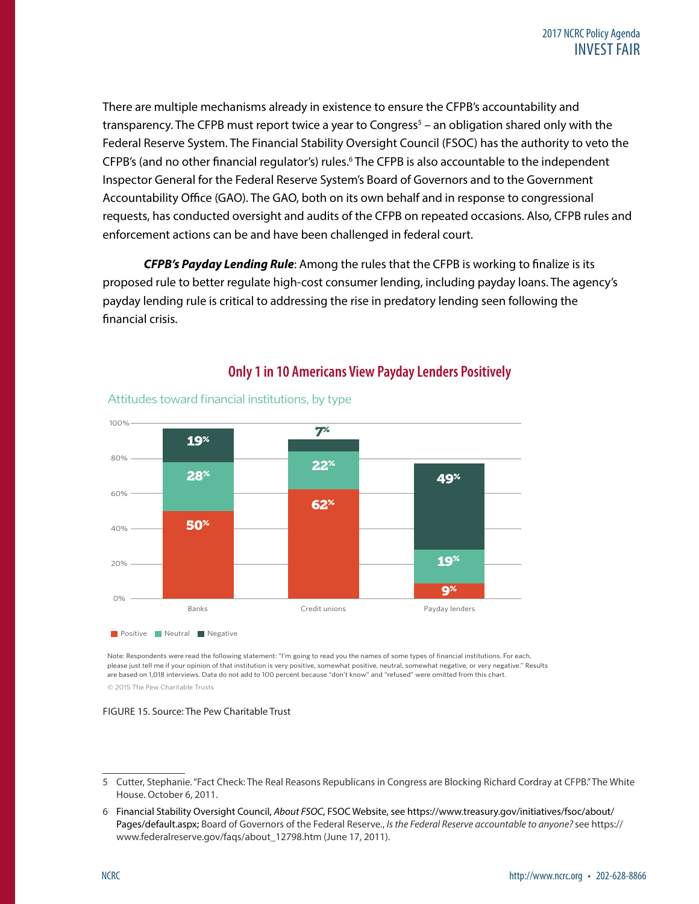There are multiple mechanisms already in existence to ensure the CFPB's accountability and transparency. The CFPB must report twice a year to Congress<sup>5</sup> – an obligation shared only with the Federal Reserve System. The Financial Stability Oversight Council (FSOC) has the authority to veto the CFPB's (and no other financial regulator's) rules.<sup>6</sup> The CFPB is also accountable to the independent Inspector General for the Federal Reserve System's Board of Governors and to the Government Accountability Office (GAO). The GAO, both on its own behalf and in response to congressional requests, has conducted oversight and audits of the CFPB on repeated occasions. Also, CFPB rules and enforcement actions can be and have been challenged in federal court.

*CFPB's Payday Lending Rule*: Among the rules that the CFPB is working to finalize is its proposed rule to better regulate high-cost consumer lending, including payday loans. The agency's payday lending rule is critical to addressing the rise in predatory lending seen following the financial crisis.



#### **Only 1 in 10 Americans View Payday Lenders Positively** Only 1 in 10 Americans View Payday Lenders Positively

Note: Respondents were read the following statement: "I'm going to read you the names of some types of financial institutions. For each, please just tell me if your opinion of that institution is very positive, somewhat positive, neutral, somewhat negative, or very negative." Results are based on 1,018 interviews. Data do not add to 100 percent because "don't know" and "refused" were omitted from this chart.

© 2015 The Pew Charitable Trusts

#### FIGURE 15. Source: The Pew Charitable Trust

<sup>2</sup> 5 Cutter, Stephanie. "Fact Check: The Real Reasons Republicans in Congress are Blocking Richard Cordray at CFPB." The White House. October 6, 2011.

<sup>6</sup> Financial Stability Oversight Council, *About FSOC*, FSOC Website, see https://www.treasury.gov/initiatives/fsoc/about/ Pages/default.aspx; Board of Governors of the Federal Reserve., *Is the Federal Reserve accountable to anyone?* see https:// www.federalreserve.gov/faqs/about\_12798.htm (June 17, 2011).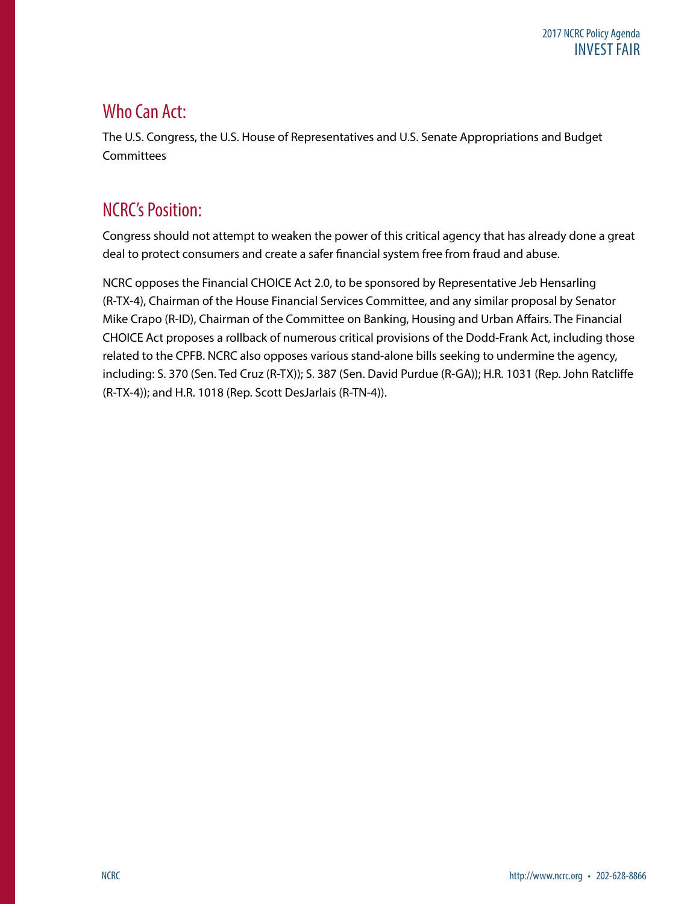## Who Can Act:

The U.S. Congress, the U.S. House of Representatives and U.S. Senate Appropriations and Budget **Committees** 

# NCRC's Position:

Congress should not attempt to weaken the power of this critical agency that has already done a great deal to protect consumers and create a safer financial system free from fraud and abuse.

NCRC opposes the Financial CHOICE Act 2.0, to be sponsored by Representative Jeb Hensarling (R-TX-4), Chairman of the House Financial Services Committee, and any similar proposal by Senator Mike Crapo (R-ID), Chairman of the Committee on Banking, Housing and Urban Affairs. The Financial CHOICE Act proposes a rollback of numerous critical provisions of the Dodd-Frank Act, including those related to the CPFB. NCRC also opposes various stand-alone bills seeking to undermine the agency, including: S. 370 (Sen. Ted Cruz (R-TX)); S. 387 (Sen. David Purdue (R-GA)); H.R. 1031 (Rep. John Ratcliffe (R-TX-4)); and H.R. 1018 (Rep. Scott DesJarlais (R-TN-4)).